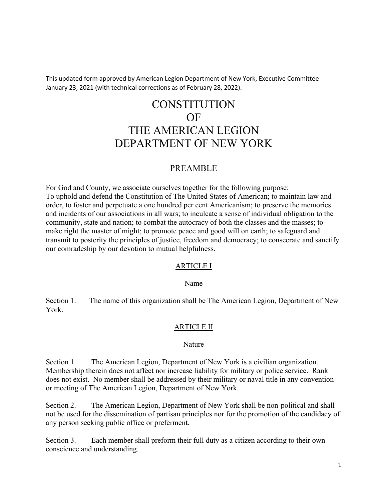This updated form approved by American Legion Department of New York, Executive Committee January 23, 2021 (with technical corrections as of February 28, 2022).

# **CONSTITUTION** OF THE AMERICAN LEGION DEPARTMENT OF NEW YORK

# PREAMBLE

For God and County, we associate ourselves together for the following purpose: To uphold and defend the Constitution of The United States of American; to maintain law and order, to foster and perpetuate a one hundred per cent Americanism; to preserve the memories and incidents of our associations in all wars; to inculcate a sense of individual obligation to the community, state and nation; to combat the autocracy of both the classes and the masses; to make right the master of might; to promote peace and good will on earth; to safeguard and transmit to posterity the principles of justice, freedom and democracy; to consecrate and sanctify our comradeship by our devotion to mutual helpfulness.

#### ARTICLE I

#### Name

Section 1. The name of this organization shall be The American Legion, Department of New York.

#### ARTICLE II

#### Nature

Section 1. The American Legion, Department of New York is a civilian organization. Membership therein does not affect nor increase liability for military or police service. Rank does not exist. No member shall be addressed by their military or naval title in any convention or meeting of The American Legion, Department of New York.

Section 2. The American Legion, Department of New York shall be non-political and shall not be used for the dissemination of partisan principles nor for the promotion of the candidacy of any person seeking public office or preferment.

Section 3. Each member shall preform their full duty as a citizen according to their own conscience and understanding.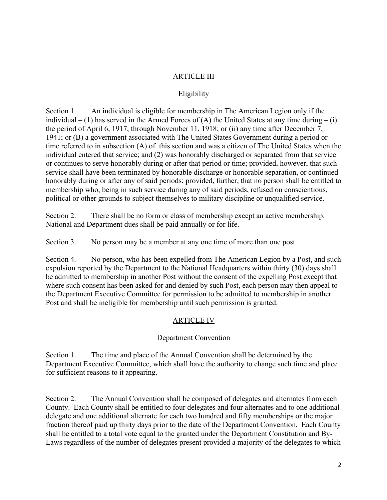## ARTICLE III

#### Eligibility

Section 1. An individual is eligible for membership in The American Legion only if the individual – (1) has served in the Armed Forces of (A) the United States at any time during – (i) the period of April 6, 1917, through November 11, 1918; or (ii) any time after December 7, 1941; or (B) a government associated with The United States Government during a period or time referred to in subsection (A) of this section and was a citizen of The United States when the individual entered that service; and (2) was honorably discharged or separated from that service or continues to serve honorably during or after that period or time; provided, however, that such service shall have been terminated by honorable discharge or honorable separation, or continued honorably during or after any of said periods; provided, further, that no person shall be entitled to membership who, being in such service during any of said periods, refused on conscientious, political or other grounds to subject themselves to military discipline or unqualified service.

Section 2. There shall be no form or class of membership except an active membership. National and Department dues shall be paid annually or for life.

Section 3. No person may be a member at any one time of more than one post.

Section 4. No person, who has been expelled from The American Legion by a Post, and such expulsion reported by the Department to the National Headquarters within thirty (30) days shall be admitted to membership in another Post without the consent of the expelling Post except that where such consent has been asked for and denied by such Post, each person may then appeal to the Department Executive Committee for permission to be admitted to membership in another Post and shall be ineligible for membership until such permission is granted.

## ARTICLE IV

## Department Convention

Section 1. The time and place of the Annual Convention shall be determined by the Department Executive Committee, which shall have the authority to change such time and place for sufficient reasons to it appearing.

Section 2. The Annual Convention shall be composed of delegates and alternates from each County. Each County shall be entitled to four delegates and four alternates and to one additional delegate and one additional alternate for each two hundred and fifty memberships or the major fraction thereof paid up thirty days prior to the date of the Department Convention. Each County shall be entitled to a total vote equal to the granted under the Department Constitution and By-Laws regardless of the number of delegates present provided a majority of the delegates to which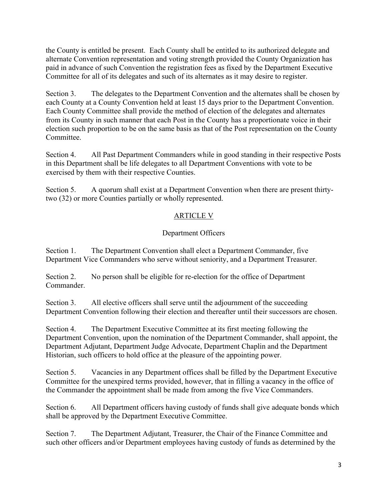the County is entitled be present. Each County shall be entitled to its authorized delegate and alternate Convention representation and voting strength provided the County Organization has paid in advance of such Convention the registration fees as fixed by the Department Executive Committee for all of its delegates and such of its alternates as it may desire to register.

Section 3. The delegates to the Department Convention and the alternates shall be chosen by each County at a County Convention held at least 15 days prior to the Department Convention. Each County Committee shall provide the method of election of the delegates and alternates from its County in such manner that each Post in the County has a proportionate voice in their election such proportion to be on the same basis as that of the Post representation on the County **Committee** 

Section 4. All Past Department Commanders while in good standing in their respective Posts in this Department shall be life delegates to all Department Conventions with vote to be exercised by them with their respective Counties.

Section 5. A quorum shall exist at a Department Convention when there are present thirtytwo (32) or more Counties partially or wholly represented.

## ARTICLE V

## Department Officers

Section 1. The Department Convention shall elect a Department Commander, five Department Vice Commanders who serve without seniority, and a Department Treasurer.

Section 2. No person shall be eligible for re-election for the office of Department Commander.

Section 3. All elective officers shall serve until the adjournment of the succeeding Department Convention following their election and thereafter until their successors are chosen.

Section 4. The Department Executive Committee at its first meeting following the Department Convention, upon the nomination of the Department Commander, shall appoint, the Department Adjutant, Department Judge Advocate, Department Chaplin and the Department Historian, such officers to hold office at the pleasure of the appointing power.

Section 5. Vacancies in any Department offices shall be filled by the Department Executive Committee for the unexpired terms provided, however, that in filling a vacancy in the office of the Commander the appointment shall be made from among the five Vice Commanders.

Section 6. All Department officers having custody of funds shall give adequate bonds which shall be approved by the Department Executive Committee.

Section 7. The Department Adjutant, Treasurer, the Chair of the Finance Committee and such other officers and/or Department employees having custody of funds as determined by the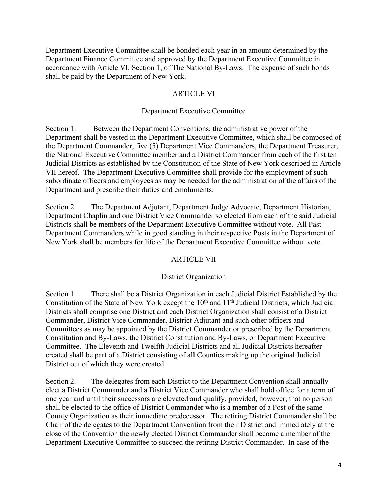Department Executive Committee shall be bonded each year in an amount determined by the Department Finance Committee and approved by the Department Executive Committee in accordance with Article VI, Section 1, of The National By-Laws. The expense of such bonds shall be paid by the Department of New York.

#### ARTICLE VI

#### Department Executive Committee

Section 1. Between the Department Conventions, the administrative power of the Department shall be vested in the Department Executive Committee, which shall be composed of the Department Commander, five (5) Department Vice Commanders, the Department Treasurer, the National Executive Committee member and a District Commander from each of the first ten Judicial Districts as established by the Constitution of the State of New York described in Article VII hereof. The Department Executive Committee shall provide for the employment of such subordinate officers and employees as may be needed for the administration of the affairs of the Department and prescribe their duties and emoluments.

Section 2. The Department Adjutant, Department Judge Advocate, Department Historian, Department Chaplin and one District Vice Commander so elected from each of the said Judicial Districts shall be members of the Department Executive Committee without vote. All Past Department Commanders while in good standing in their respective Posts in the Department of New York shall be members for life of the Department Executive Committee without vote.

#### ARTICLE VII

#### District Organization

Section 1. There shall be a District Organization in each Judicial District Established by the Constitution of the State of New York except the  $10<sup>th</sup>$  and  $11<sup>th</sup>$  Judicial Districts, which Judicial Districts shall comprise one District and each District Organization shall consist of a District Commander, District Vice Commander, District Adjutant and such other officers and Committees as may be appointed by the District Commander or prescribed by the Department Constitution and By-Laws, the District Constitution and By-Laws, or Department Executive Committee. The Eleventh and Twelfth Judicial Districts and all Judicial Districts hereafter created shall be part of a District consisting of all Counties making up the original Judicial District out of which they were created.

Section 2. The delegates from each District to the Department Convention shall annually elect a District Commander and a District Vice Commander who shall hold office for a term of one year and until their successors are elevated and qualify, provided, however, that no person shall be elected to the office of District Commander who is a member of a Post of the same County Organization as their immediate predecessor. The retiring District Commander shall be Chair of the delegates to the Department Convention from their District and immediately at the close of the Convention the newly elected District Commander shall become a member of the Department Executive Committee to succeed the retiring District Commander. In case of the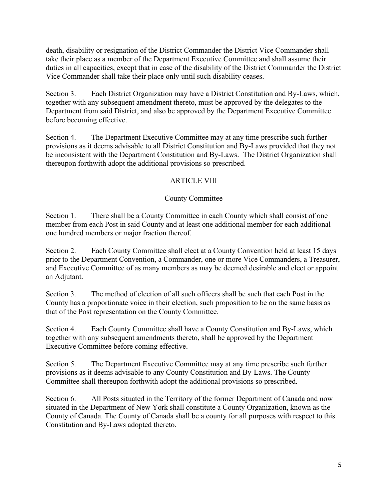death, disability or resignation of the District Commander the District Vice Commander shall take their place as a member of the Department Executive Committee and shall assume their duties in all capacities, except that in case of the disability of the District Commander the District Vice Commander shall take their place only until such disability ceases.

Section 3. Each District Organization may have a District Constitution and By-Laws, which, together with any subsequent amendment thereto, must be approved by the delegates to the Department from said District, and also be approved by the Department Executive Committee before becoming effective.

Section 4. The Department Executive Committee may at any time prescribe such further provisions as it deems advisable to all District Constitution and By-Laws provided that they not be inconsistent with the Department Constitution and By-Laws. The District Organization shall thereupon forthwith adopt the additional provisions so prescribed.

# ARTICLE VIII

## County Committee

Section 1. There shall be a County Committee in each County which shall consist of one member from each Post in said County and at least one additional member for each additional one hundred members or major fraction thereof.

Section 2. Each County Committee shall elect at a County Convention held at least 15 days prior to the Department Convention, a Commander, one or more Vice Commanders, a Treasurer, and Executive Committee of as many members as may be deemed desirable and elect or appoint an Adjutant.

Section 3. The method of election of all such officers shall be such that each Post in the County has a proportionate voice in their election, such proposition to be on the same basis as that of the Post representation on the County Committee.

Section 4. Each County Committee shall have a County Constitution and By-Laws, which together with any subsequent amendments thereto, shall be approved by the Department Executive Committee before coming effective.

Section 5. The Department Executive Committee may at any time prescribe such further provisions as it deems advisable to any County Constitution and By-Laws. The County Committee shall thereupon forthwith adopt the additional provisions so prescribed.

Section 6. All Posts situated in the Territory of the former Department of Canada and now situated in the Department of New York shall constitute a County Organization, known as the County of Canada. The County of Canada shall be a county for all purposes with respect to this Constitution and By-Laws adopted thereto.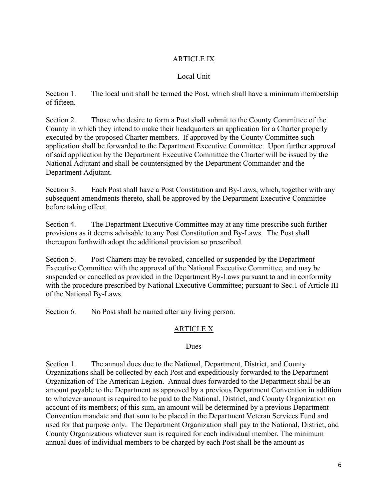## ARTICLE IX

## Local Unit

Section 1. The local unit shall be termed the Post, which shall have a minimum membership of fifteen.

Section 2. Those who desire to form a Post shall submit to the County Committee of the County in which they intend to make their headquarters an application for a Charter properly executed by the proposed Charter members. If approved by the County Committee such application shall be forwarded to the Department Executive Committee. Upon further approval of said application by the Department Executive Committee the Charter will be issued by the National Adjutant and shall be countersigned by the Department Commander and the Department Adjutant.

Section 3. Each Post shall have a Post Constitution and By-Laws, which, together with any subsequent amendments thereto, shall be approved by the Department Executive Committee before taking effect.

Section 4. The Department Executive Committee may at any time prescribe such further provisions as it deems advisable to any Post Constitution and By-Laws. The Post shall thereupon forthwith adopt the additional provision so prescribed.

Section 5. Post Charters may be revoked, cancelled or suspended by the Department Executive Committee with the approval of the National Executive Committee, and may be suspended or cancelled as provided in the Department By-Laws pursuant to and in conformity with the procedure prescribed by National Executive Committee; pursuant to Sec.1 of Article III of the National By-Laws.

Section 6. No Post shall be named after any living person.

# ARTICLE X

#### Dues

Section 1. The annual dues due to the National, Department, District, and County Organizations shall be collected by each Post and expeditiously forwarded to the Department Organization of The American Legion. Annual dues forwarded to the Department shall be an amount payable to the Department as approved by a previous Department Convention in addition to whatever amount is required to be paid to the National, District, and County Organization on account of its members; of this sum, an amount will be determined by a previous Department Convention mandate and that sum to be placed in the Department Veteran Services Fund and used for that purpose only. The Department Organization shall pay to the National, District, and County Organizations whatever sum is required for each individual member. The minimum annual dues of individual members to be charged by each Post shall be the amount as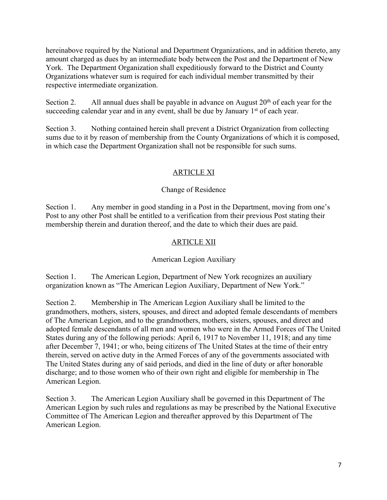hereinabove required by the National and Department Organizations, and in addition thereto, any amount charged as dues by an intermediate body between the Post and the Department of New York. The Department Organization shall expeditiously forward to the District and County Organizations whatever sum is required for each individual member transmitted by their respective intermediate organization.

Section 2. All annual dues shall be payable in advance on August  $20<sup>th</sup>$  of each year for the succeeding calendar year and in any event, shall be due by January  $1<sup>st</sup>$  of each year.

Section 3. Nothing contained herein shall prevent a District Organization from collecting sums due to it by reason of membership from the County Organizations of which it is composed, in which case the Department Organization shall not be responsible for such sums.

# ARTICLE XI

## Change of Residence

Section 1. Any member in good standing in a Post in the Department, moving from one's Post to any other Post shall be entitled to a verification from their previous Post stating their membership therein and duration thereof, and the date to which their dues are paid.

# ARTICLE XII

## American Legion Auxiliary

Section 1. The American Legion, Department of New York recognizes an auxiliary organization known as "The American Legion Auxiliary, Department of New York."

Section 2. Membership in The American Legion Auxiliary shall be limited to the grandmothers, mothers, sisters, spouses, and direct and adopted female descendants of members of The American Legion, and to the grandmothers, mothers, sisters, spouses, and direct and adopted female descendants of all men and women who were in the Armed Forces of The United States during any of the following periods: April 6, 1917 to November 11, 1918; and any time after December 7, 1941; or who, being citizens of The United States at the time of their entry therein, served on active duty in the Armed Forces of any of the governments associated with The United States during any of said periods, and died in the line of duty or after honorable discharge; and to those women who of their own right and eligible for membership in The American Legion.

Section 3. The American Legion Auxiliary shall be governed in this Department of The American Legion by such rules and regulations as may be prescribed by the National Executive Committee of The American Legion and thereafter approved by this Department of The American Legion.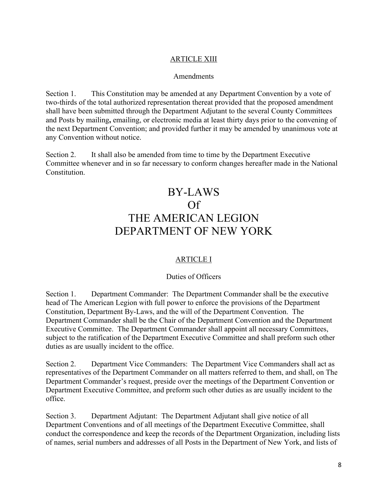## ARTICLE XIII

#### Amendments

Section 1. This Constitution may be amended at any Department Convention by a vote of two-thirds of the total authorized representation thereat provided that the proposed amendment shall have been submitted through the Department Adjutant to the several County Committees and Posts by mailing**,** emailing, or electronic media at least thirty days prior to the convening of the next Department Convention; and provided further it may be amended by unanimous vote at any Convention without notice.

Section 2. It shall also be amended from time to time by the Department Executive Committee whenever and in so far necessary to conform changes hereafter made in the National Constitution.

# BY-LAWS Of THE AMERICAN LEGION DEPARTMENT OF NEW YORK

# ARTICLE I

#### Duties of Officers

Section 1. Department Commander: The Department Commander shall be the executive head of The American Legion with full power to enforce the provisions of the Department Constitution, Department By-Laws, and the will of the Department Convention. The Department Commander shall be the Chair of the Department Convention and the Department Executive Committee. The Department Commander shall appoint all necessary Committees, subject to the ratification of the Department Executive Committee and shall preform such other duties as are usually incident to the office.

Section 2. Department Vice Commanders: The Department Vice Commanders shall act as representatives of the Department Commander on all matters referred to them, and shall, on The Department Commander's request, preside over the meetings of the Department Convention or Department Executive Committee, and preform such other duties as are usually incident to the office.

Section 3. Department Adjutant: The Department Adjutant shall give notice of all Department Conventions and of all meetings of the Department Executive Committee, shall conduct the correspondence and keep the records of the Department Organization, including lists of names, serial numbers and addresses of all Posts in the Department of New York, and lists of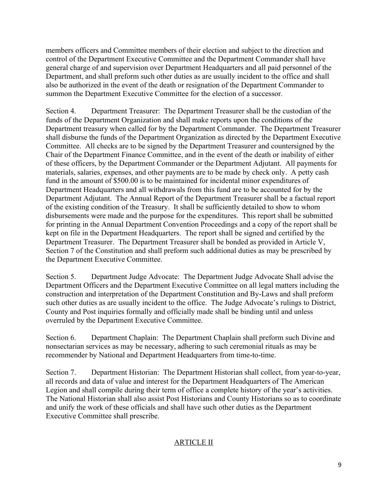members officers and Committee members of their election and subject to the direction and control of the Department Executive Committee and the Department Commander shall have general charge of and supervision over Department Headquarters and all paid personnel of the Department, and shall preform such other duties as are usually incident to the office and shall also be authorized in the event of the death or resignation of the Department Commander to summon the Department Executive Committee for the election of a successor.

Section 4. Department Treasurer: The Department Treasurer shall be the custodian of the funds of the Department Organization and shall make reports upon the conditions of the Department treasury when called for by the Department Commander. The Department Treasurer shall disburse the funds of the Department Organization as directed by the Department Executive Committee. All checks are to be signed by the Department Treasurer and countersigned by the Chair of the Department Finance Committee, and in the event of the death or inability of either of these officers, by the Department Commander or the Department Adjutant. All payments for materials, salaries, expenses, and other payments are to be made by check only. A petty cash fund in the amount of \$500.00 is to be maintained for incidental minor expenditures of Department Headquarters and all withdrawals from this fund are to be accounted for by the Department Adjutant. The Annual Report of the Department Treasurer shall be a factual report of the existing condition of the Treasury. It shall be sufficiently detailed to show to whom disbursements were made and the purpose for the expenditures. This report shall be submitted for printing in the Annual Department Convention Proceedings and a copy of the report shall be kept on file in the Department Headquarters. The report shall be signed and certified by the Department Treasurer. The Department Treasurer shall be bonded as provided in Article V, Section 7 of the Constitution and shall preform such additional duties as may be prescribed by the Department Executive Committee.

Section 5. Department Judge Advocate: The Department Judge Advocate Shall advise the Department Officers and the Department Executive Committee on all legal matters including the construction and interpretation of the Department Constitution and By-Laws and shall preform such other duties as are usually incident to the office. The Judge Advocate's rulings to District, County and Post inquiries formally and officially made shall be binding until and unless overruled by the Department Executive Committee.

Section 6. Department Chaplain: The Department Chaplain shall preform such Divine and nonsectarian services as may be necessary, adhering to such ceremonial rituals as may be recommender by National and Department Headquarters from time-to-time.

Section 7. Department Historian: The Department Historian shall collect, from year-to-year, all records and data of value and interest for the Department Headquarters of The American Legion and shall compile during their term of office a complete history of the year's activities. The National Historian shall also assist Post Historians and County Historians so as to coordinate and unify the work of these officials and shall have such other duties as the Department Executive Committee shall prescribe.

# ARTICLE II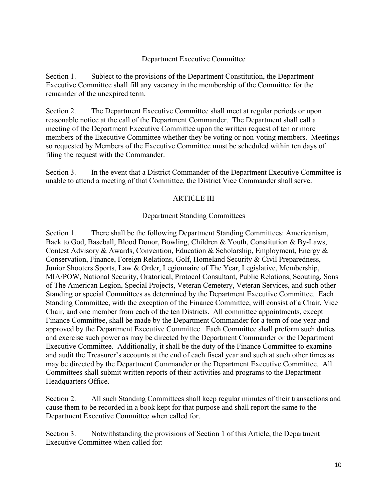#### Department Executive Committee

Section 1. Subject to the provisions of the Department Constitution, the Department Executive Committee shall fill any vacancy in the membership of the Committee for the remainder of the unexpired term.

Section 2. The Department Executive Committee shall meet at regular periods or upon reasonable notice at the call of the Department Commander. The Department shall call a meeting of the Department Executive Committee upon the written request of ten or more members of the Executive Committee whether they be voting or non-voting members. Meetings so requested by Members of the Executive Committee must be scheduled within ten days of filing the request with the Commander.

Section 3. In the event that a District Commander of the Department Executive Committee is unable to attend a meeting of that Committee, the District Vice Commander shall serve.

## ARTICLE III

#### Department Standing Committees

Section 1. There shall be the following Department Standing Committees: Americanism, Back to God, Baseball, Blood Donor, Bowling, Children & Youth, Constitution & By-Laws, Contest Advisory & Awards, Convention, Education & Scholarship, Employment, Energy & Conservation, Finance, Foreign Relations, Golf, Homeland Security & Civil Preparedness, Junior Shooters Sports, Law & Order, Legionnaire of The Year, Legislative, Membership, MIA/POW, National Security, Oratorical, Protocol Consultant, Public Relations, Scouting, Sons of The American Legion, Special Projects, Veteran Cemetery, Veteran Services, and such other Standing or special Committees as determined by the Department Executive Committee. Each Standing Committee, with the exception of the Finance Committee, will consist of a Chair, Vice Chair, and one member from each of the ten Districts. All committee appointments, except Finance Committee, shall be made by the Department Commander for a term of one year and approved by the Department Executive Committee. Each Committee shall preform such duties and exercise such power as may be directed by the Department Commander or the Department Executive Committee. Additionally, it shall be the duty of the Finance Committee to examine and audit the Treasurer's accounts at the end of each fiscal year and such at such other times as may be directed by the Department Commander or the Department Executive Committee. All Committees shall submit written reports of their activities and programs to the Department Headquarters Office.

Section 2. All such Standing Committees shall keep regular minutes of their transactions and cause them to be recorded in a book kept for that purpose and shall report the same to the Department Executive Committee when called for.

Section 3. Notwithstanding the provisions of Section 1 of this Article, the Department Executive Committee when called for: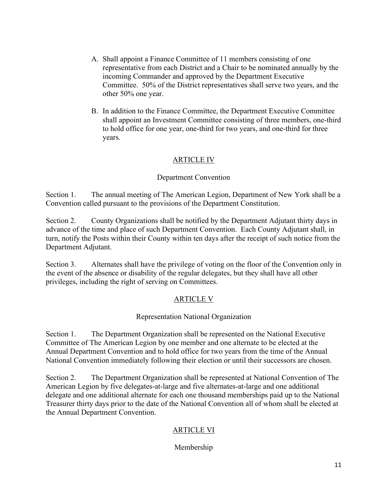- A. Shall appoint a Finance Committee of 11 members consisting of one representative from each District and a Chair to be nominated annually by the incoming Commander and approved by the Department Executive Committee. 50% of the District representatives shall serve two years, and the other 50% one year.
- B. In addition to the Finance Committee, the Department Executive Committee shall appoint an Investment Committee consisting of three members, one-third to hold office for one year, one-third for two years, and one-third for three years.

## ARTICLE IV

## Department Convention

Section 1. The annual meeting of The American Legion, Department of New York shall be a Convention called pursuant to the provisions of the Department Constitution.

Section 2. County Organizations shall be notified by the Department Adjutant thirty days in advance of the time and place of such Department Convention. Each County Adjutant shall, in turn, notify the Posts within their County within ten days after the receipt of such notice from the Department Adjutant.

Section 3. Alternates shall have the privilege of voting on the floor of the Convention only in the event of the absence or disability of the regular delegates, but they shall have all other privileges, including the right of serving on Committees.

## ARTICLE V

## Representation National Organization

Section 1. The Department Organization shall be represented on the National Executive Committee of The American Legion by one member and one alternate to be elected at the Annual Department Convention and to hold office for two years from the time of the Annual National Convention immediately following their election or until their successors are chosen.

Section 2. The Department Organization shall be represented at National Convention of The American Legion by five delegates-at-large and five alternates-at-large and one additional delegate and one additional alternate for each one thousand memberships paid up to the National Treasurer thirty days prior to the date of the National Convention all of whom shall be elected at the Annual Department Convention.

## ARTICLE VI

## Membership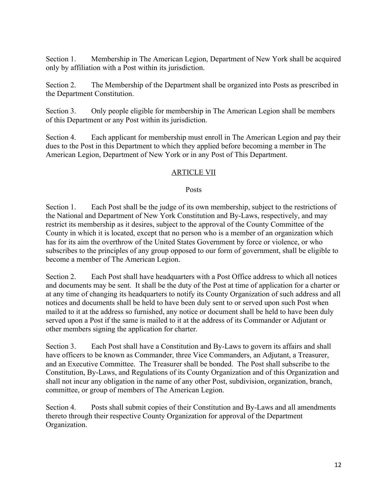Section 1. Membership in The American Legion, Department of New York shall be acquired only by affiliation with a Post within its jurisdiction.

Section 2. The Membership of the Department shall be organized into Posts as prescribed in the Department Constitution.

Section 3. Only people eligible for membership in The American Legion shall be members of this Department or any Post within its jurisdiction.

Section 4. Each applicant for membership must enroll in The American Legion and pay their dues to the Post in this Department to which they applied before becoming a member in The American Legion, Department of New York or in any Post of This Department.

## ARTICLE VII

#### Posts

Section 1. Each Post shall be the judge of its own membership, subject to the restrictions of the National and Department of New York Constitution and By-Laws, respectively, and may restrict its membership as it desires, subject to the approval of the County Committee of the County in which it is located, except that no person who is a member of an organization which has for its aim the overthrow of the United States Government by force or violence, or who subscribes to the principles of any group opposed to our form of government, shall be eligible to become a member of The American Legion.

Section 2. Each Post shall have headquarters with a Post Office address to which all notices and documents may be sent. It shall be the duty of the Post at time of application for a charter or at any time of changing its headquarters to notify its County Organization of such address and all notices and documents shall be held to have been duly sent to or served upon such Post when mailed to it at the address so furnished, any notice or document shall be held to have been duly served upon a Post if the same is mailed to it at the address of its Commander or Adjutant or other members signing the application for charter.

Section 3. Each Post shall have a Constitution and By-Laws to govern its affairs and shall have officers to be known as Commander, three Vice Commanders, an Adjutant, a Treasurer, and an Executive Committee. The Treasurer shall be bonded. The Post shall subscribe to the Constitution, By-Laws, and Regulations of its County Organization and of this Organization and shall not incur any obligation in the name of any other Post, subdivision, organization, branch, committee, or group of members of The American Legion.

Section 4. Posts shall submit copies of their Constitution and By-Laws and all amendments thereto through their respective County Organization for approval of the Department Organization.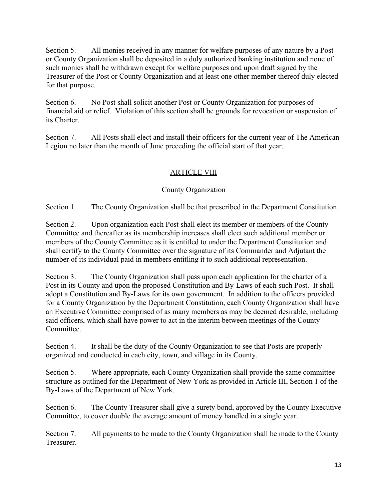Section 5. All monies received in any manner for welfare purposes of any nature by a Post or County Organization shall be deposited in a duly authorized banking institution and none of such monies shall be withdrawn except for welfare purposes and upon draft signed by the Treasurer of the Post or County Organization and at least one other member thereof duly elected for that purpose.

Section 6. No Post shall solicit another Post or County Organization for purposes of financial aid or relief. Violation of this section shall be grounds for revocation or suspension of its Charter.

Section 7. All Posts shall elect and install their officers for the current year of The American Legion no later than the month of June preceding the official start of that year.

# ARTICLE VIII

## County Organization

Section 1. The County Organization shall be that prescribed in the Department Constitution.

Section 2. Upon organization each Post shall elect its member or members of the County Committee and thereafter as its membership increases shall elect such additional member or members of the County Committee as it is entitled to under the Department Constitution and shall certify to the County Committee over the signature of its Commander and Adjutant the number of its individual paid in members entitling it to such additional representation.

Section 3. The County Organization shall pass upon each application for the charter of a Post in its County and upon the proposed Constitution and By-Laws of each such Post. It shall adopt a Constitution and By-Laws for its own government. In addition to the officers provided for a County Organization by the Department Constitution, each County Organization shall have an Executive Committee comprised of as many members as may be deemed desirable, including said officers, which shall have power to act in the interim between meetings of the County **Committee** 

Section 4. It shall be the duty of the County Organization to see that Posts are properly organized and conducted in each city, town, and village in its County.

Section 5. Where appropriate, each County Organization shall provide the same committee structure as outlined for the Department of New York as provided in Article III, Section 1 of the By-Laws of the Department of New York.

Section 6. The County Treasurer shall give a surety bond, approved by the County Executive Committee, to cover double the average amount of money handled in a single year.

Section 7. All payments to be made to the County Organization shall be made to the County Treasurer.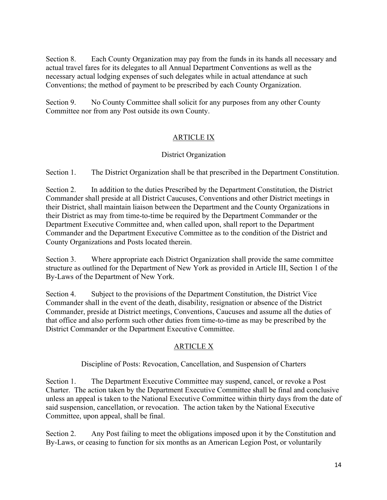Section 8. Each County Organization may pay from the funds in its hands all necessary and actual travel fares for its delegates to all Annual Department Conventions as well as the necessary actual lodging expenses of such delegates while in actual attendance at such Conventions; the method of payment to be prescribed by each County Organization.

Section 9. No County Committee shall solicit for any purposes from any other County Committee nor from any Post outside its own County.

# ARTICLE IX

## District Organization

Section 1. The District Organization shall be that prescribed in the Department Constitution.

Section 2. In addition to the duties Prescribed by the Department Constitution, the District Commander shall preside at all District Caucuses, Conventions and other District meetings in their District, shall maintain liaison between the Department and the County Organizations in their District as may from time-to-time be required by the Department Commander or the Department Executive Committee and, when called upon, shall report to the Department Commander and the Department Executive Committee as to the condition of the District and County Organizations and Posts located therein.

Section 3. Where appropriate each District Organization shall provide the same committee structure as outlined for the Department of New York as provided in Article III, Section 1 of the By-Laws of the Department of New York.

Section 4. Subject to the provisions of the Department Constitution, the District Vice Commander shall in the event of the death, disability, resignation or absence of the District Commander, preside at District meetings, Conventions, Caucuses and assume all the duties of that office and also perform such other duties from time-to-time as may be prescribed by the District Commander or the Department Executive Committee.

# ARTICLE X

Discipline of Posts: Revocation, Cancellation, and Suspension of Charters

Section 1. The Department Executive Committee may suspend, cancel, or revoke a Post Charter. The action taken by the Department Executive Committee shall be final and conclusive unless an appeal is taken to the National Executive Committee within thirty days from the date of said suspension, cancellation, or revocation. The action taken by the National Executive Committee, upon appeal, shall be final.

Section 2. Any Post failing to meet the obligations imposed upon it by the Constitution and By-Laws, or ceasing to function for six months as an American Legion Post, or voluntarily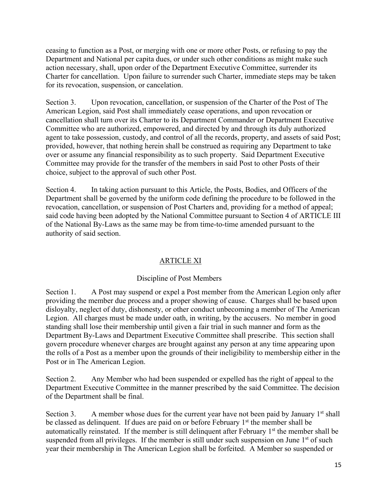ceasing to function as a Post, or merging with one or more other Posts, or refusing to pay the Department and National per capita dues, or under such other conditions as might make such action necessary, shall, upon order of the Department Executive Committee, surrender its Charter for cancellation. Upon failure to surrender such Charter, immediate steps may be taken for its revocation, suspension, or cancelation.

Section 3. Upon revocation, cancellation, or suspension of the Charter of the Post of The American Legion, said Post shall immediately cease operations, and upon revocation or cancellation shall turn over its Charter to its Department Commander or Department Executive Committee who are authorized, empowered, and directed by and through its duly authorized agent to take possession, custody, and control of all the records, property, and assets of said Post; provided, however, that nothing herein shall be construed as requiring any Department to take over or assume any financial responsibility as to such property. Said Department Executive Committee may provide for the transfer of the members in said Post to other Posts of their choice, subject to the approval of such other Post.

Section 4. In taking action pursuant to this Article, the Posts, Bodies, and Officers of the Department shall be governed by the uniform code defining the procedure to be followed in the revocation, cancellation, or suspension of Post Charters and, providing for a method of appeal; said code having been adopted by the National Committee pursuant to Section 4 of ARTICLE III of the National By-Laws as the same may be from time-to-time amended pursuant to the authority of said section.

# ARTICLE XI

## Discipline of Post Members

Section 1. A Post may suspend or expel a Post member from the American Legion only after providing the member due process and a proper showing of cause. Charges shall be based upon disloyalty, neglect of duty, dishonesty, or other conduct unbecoming a member of The American Legion. All charges must be made under oath, in writing, by the accusers. No member in good standing shall lose their membership until given a fair trial in such manner and form as the Department By-Laws and Department Executive Committee shall prescribe. This section shall govern procedure whenever charges are brought against any person at any time appearing upon the rolls of a Post as a member upon the grounds of their ineligibility to membership either in the Post or in The American Legion.

Section 2. Any Member who had been suspended or expelled has the right of appeal to the Department Executive Committee in the manner prescribed by the said Committee. The decision of the Department shall be final.

Section 3. A member whose dues for the current year have not been paid by January  $1<sup>st</sup>$  shall be classed as delinquent. If dues are paid on or before February 1<sup>st</sup> the member shall be automatically reinstated. If the member is still delinquent after February  $1<sup>st</sup>$  the member shall be suspended from all privileges. If the member is still under such suspension on June 1<sup>st</sup> of such year their membership in The American Legion shall be forfeited. A Member so suspended or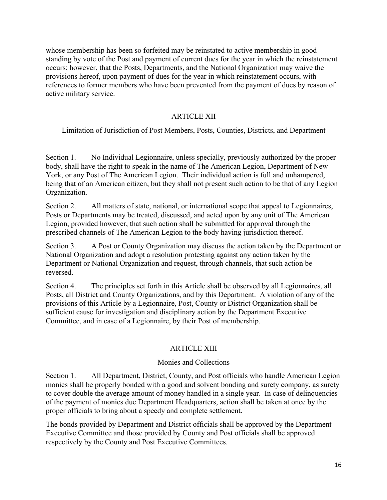whose membership has been so forfeited may be reinstated to active membership in good standing by vote of the Post and payment of current dues for the year in which the reinstatement occurs; however, that the Posts, Departments, and the National Organization may waive the provisions hereof, upon payment of dues for the year in which reinstatement occurs, with references to former members who have been prevented from the payment of dues by reason of active military service.

# ARTICLE XII

Limitation of Jurisdiction of Post Members, Posts, Counties, Districts, and Department

Section 1. No Individual Legionnaire, unless specially, previously authorized by the proper body, shall have the right to speak in the name of The American Legion, Department of New York, or any Post of The American Legion. Their individual action is full and unhampered, being that of an American citizen, but they shall not present such action to be that of any Legion Organization.

Section 2. All matters of state, national, or international scope that appeal to Legionnaires, Posts or Departments may be treated, discussed, and acted upon by any unit of The American Legion, provided however, that such action shall be submitted for approval through the prescribed channels of The American Legion to the body having jurisdiction thereof.

Section 3. A Post or County Organization may discuss the action taken by the Department or National Organization and adopt a resolution protesting against any action taken by the Department or National Organization and request, through channels, that such action be reversed.

Section 4. The principles set forth in this Article shall be observed by all Legionnaires, all Posts, all District and County Organizations, and by this Department. A violation of any of the provisions of this Article by a Legionnaire, Post, County or District Organization shall be sufficient cause for investigation and disciplinary action by the Department Executive Committee, and in case of a Legionnaire, by their Post of membership.

# ARTICLE XIII

## Monies and Collections

Section 1. All Department, District, County, and Post officials who handle American Legion monies shall be properly bonded with a good and solvent bonding and surety company, as surety to cover double the average amount of money handled in a single year. In case of delinquencies of the payment of monies due Department Headquarters, action shall be taken at once by the proper officials to bring about a speedy and complete settlement.

The bonds provided by Department and District officials shall be approved by the Department Executive Committee and those provided by County and Post officials shall be approved respectively by the County and Post Executive Committees.